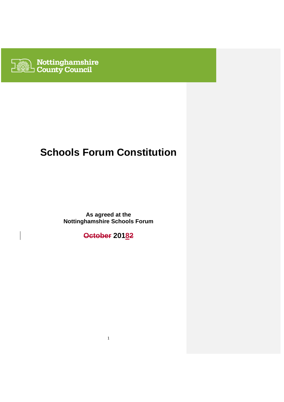

# **Schools Forum Constitution**

**As agreed at the Nottinghamshire Schools Forum** 

**October 20182**

1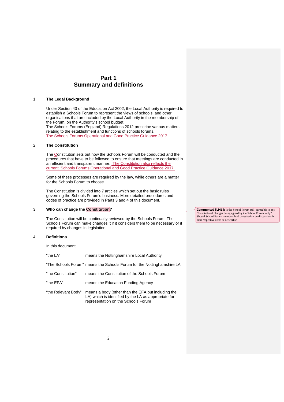### **Part 1 Summary and definitions**

#### 1. **The Legal Background**

Under Section 43 of the Education Act 2002, the Local Authority is required to establish a Schools Forum to represent the views of schools, and other organisations that are included by the Local Authority in the membership of the Forum, on the Authority's school budget. The Schools Forums (England) Regulations 2012 prescribe various matters relating to the establishment and functions of schools forums. The Schools Forums Operational and Good Practice Guidance 2017.

#### 2. **The Constitution**

The Constitution sets out how the Schools Forum will be conducted and the procedures that have to be followed to ensure that meetings are conducted in an efficient and transparent manner. The Constitution also reflects the current 'Schools Forums Operational and Good Practice Guidance 2017.

Some of these processes are required by the law, while others are a matter for the Schools Forum to choose.

The Constitution is divided into 7 articles which set out the basic rules governing the Schools Forum's business. More detailed procedures and codes of practice are provided in Parts 3 and 4 of this document.

# 3. **Who can change the Constitution?**

The Constitution will be continually reviewed by the Schools Forum. The Schools Forum can make changes it if it considers them to be necessary or if required by changes in legislation.

#### 4. **Definitions**

In this document:

| "the LA"            | means the Nottinghamshire Local Authority                                                                                                         |
|---------------------|---------------------------------------------------------------------------------------------------------------------------------------------------|
|                     | "The Schools Forum" means the Schools Forum for the Nottinghamshire LA                                                                            |
| "the Constitution"  | means the Constitution of the Schools Forum                                                                                                       |
| "the EFA"           | means the Education Funding Agency                                                                                                                |
| "the Relevant Body" | means a body (other than the EFA but including the<br>LA) which is identified by the LA as appropriate for<br>representation on the Schools Forum |

**Commented [LM1]:** Is the School Forum still agreeable to any Constitutional changes being agreed by the School Forum only? Should School Forum members lead consultation on discussions in their respective areas or networks?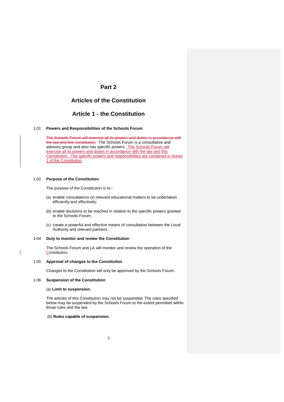### **Part 2**

### **Articles of the Constitution**

### **Article 1 - the Constitution**

#### 1.01 **Powers and Responsibilities of the Schools Forum**

The Schools Forum will exercise all its powers and duties in accordance with the law and this constitution. The Schools Forum is a consultative and advisory group and also has specific powers. The Schools Forum will exercise all its powers and duties in accordance with the law and this Constitution. The specific powers and responsibilities are contained in Annex 1 of the Constitution

#### 1.02 **Purpose of the Constitution**

The purpose of the Constitution is to:-

- (a) enable consultations on relevant educational matters to be undertaken efficiently and effectively;
- (b) enable decisions to be reached in relation to the specific powers granted to the Schools Forum,
- (c) create a powerful and effective means of consultation between the Local Authority and relevant partners.

#### 1.04 **Duty to monitor and review the Constitution**

The Schools Forum and LA will monitor and review the operation of the Constitution.

#### 1.05 **Approval of changes to the Constitution**

Changes to the Constitution will only be approved by the Schools Forum.

#### 1.06 **Suspension of the Constitution**

 $\overline{\phantom{a}}$ 

#### (a) **Limit to suspension.**

The articles of this Constitution may not be suspended. The rules specified below may be suspended by the Schools Forum to the extent permitted within those rules and the law.

#### (b) **Rules capable of suspension.**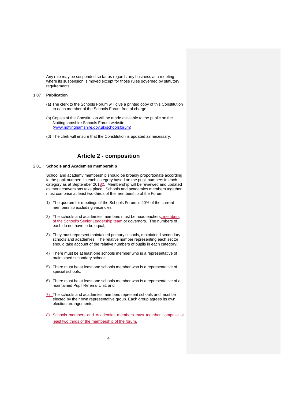Any rule may be suspended so far as regards any business at a meeting where its suspension is moved except for those rules governed by statutory requirements.

#### 1.07 **Publication**

- (a) The clerk to the Schools Forum will give a printed copy of this Constitution to each member of the Schools Forum free of charge.
- (b) Copies of the Constitution will be made available to the public on the Nottinghamshire Schools Forum website (www.nottinghamshire.gov.uk/schoolsforum)
- (d) The clerk will ensure that the Constitution is updated as necessary.

### **Article 2 - composition**

#### 2.01 **Schools and Academies membership**

School and academy membership should be broadly proportionate according to the pupil numbers in each category based on the pupil numbers in each category as at September 20182. Membership will be reviewed and updated as more conversions take place. Schools and academies members together must comprise at least two-thirds of the membership of the Forum.

- 1) The quorum for meetings of the Schools Forum is 40% of the current membership excluding vacancies.
- 2) The schools and academies members must be headteachers, members of the School's Senior Leadership team or governors. The numbers of each do not have to be equal;
- 3) They must represent maintained primary schools, maintained secondary schools and academies. The relative number representing each sector should take account of the relative numbers of pupils in each category;
- 4) There must be at least one schools member who is a representative of maintained secondary schools;
- 5) There must be at least one schools member who is a representative of special schools;
- 6) There must be at least one schools member who is a representative of a maintained Pupil Referral Unit; and
- 7) The schools and academies members represent schools and must be elected by their own representative group. Each group agrees its own election arrangements.
- 8) Schools members and Academies members must together comprise at least two thirds of the membership of the forum.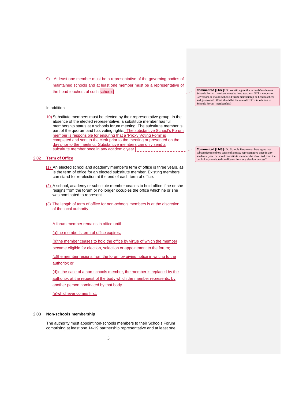9) At least one member must be a representative of the governing bodies of maintained schools and at least one member must be a representative of the head teachers of such schools.

#### In addition

10) Substitute members must be elected by their representative group. In the absence of the elected representative, a substitute member has full membership status at a schools forum meeting. The substitute member is part of the quorum and has voting rights. The substantive School's Forum member is responsible for ensuring that a 'Proxy Voting Form' is completed and sent to the clerk prior to the meeting or presented on the day prior to the meeting. Substantive members can only send a substitute member once in any academic year

#### 2.02 **Term of Office**

- (1) An elected school and academy member's term of office is three years, as In the term of office for an elected substitute member. Existing members can stand for re-election at the end of each term of office.
- (2) A school, academy or substitute member ceases to hold office if he or she resigns from the forum or no longer occupies the office which he or she was nominated to represent.
- (3) The length of term of office for non-schools members is at the discretion of the local authority

#### A forum member remains in office until—

(a)the member's term of office expires;

(b)the member ceases to hold the office by virtue of which the member became eligible for election, selection or appointment to the forum;

(c)the member resigns from the forum by giving notice in writing to the authority; or

(d)in the case of a non-schools member, the member is replaced by the authority, at the request of the body which the member represents, by another person nominated by that body

(e)whichever comes first.

#### 2.03 **Non-schools membership**

The authority must appoint non-schools members to their Schools Forum comprising at least one 14-19 partnership representative and at least one

5

**Commented [LM2]:** Do we still agree that schools/academies Schools Forum members must be head teachers, SLT members or Governors or should Schools Forum membership be head teachers and governors? What should be the role of CEO's in relation to Schools Forum membership?

**Commented [LM3]:** Do Schools Forum members agree that substantice members can send a proxy representative once in any academic year or should substitute members be identified from the pool of any unelected candidates from any election process?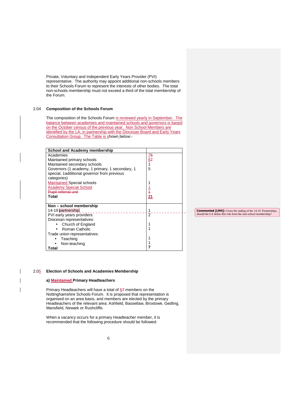Private, Voluntary and Independent Early Years Provider (PVI) representative. The authority may appoint additional non-schools members to their Schools Forum to represent the interests of other bodies. The total non-schools membership must not exceed a third of the total membership of the Forum.

#### 2.04 **Composition of the Schools Forum**

 The composition of the Schools Forum is reviewed yearly in September. The balance between academies and maintained schools and governors is based on the October census of the previous year. Non School Members are identified by the LA, in partnership with the Diocesan Board and Early Years Consultation Group. The Table is shown below:-

| <b>School and Academy membership</b>            |                 |
|-------------------------------------------------|-----------------|
| Academies                                       | $\frac{75}{67}$ |
| Maintained primary schools                      |                 |
| Maintained secondary schools                    |                 |
| Governors (1 academy, 1 primary, 1 secondary, 1 | 5               |
| special, 1 additional governor from previous    |                 |
| categories)                                     |                 |
| <b>Maintained Special schools</b>               |                 |
| <b>Academy Special School</b>                   |                 |
| <u>Pupil referral unit</u>                      | $\frac{1}{4}$   |
| Total                                           | 21              |
|                                                 |                 |
| Non - school membership                         |                 |
| 14-19 partnership                               |                 |
| PVI early years providers                       | $\bar{2}$       |
| Diocesan representatives:                       |                 |
| Church of England                               |                 |
| Roman Catholic                                  |                 |
| Trade union representatives:                    |                 |
| Teaching                                        |                 |
| Non-teaching                                    |                 |
| Total                                           |                 |

**Commented [LM4]:** Given the ending of the 14-19 Partnerships, should the LA delete this role from the non-school membership?

#### 2.05 **Election of Schools and Academies Membership**

#### **a) Maintained Primary Headteachers**

Primary Headteachers will have a total of 67 members on the Nottinghamshire Schools Forum. It is proposed that representation is organised on an area basis, and members are elected by the primary Headteachers of the relevant area: Ashfield, Bassetlaw, Broxtowe, Gedling, Mansfield, Newark or Rushcliffe.

 When a vacancy occurs for a primary Headteacher member, it is recommended that the following procedure should be followed: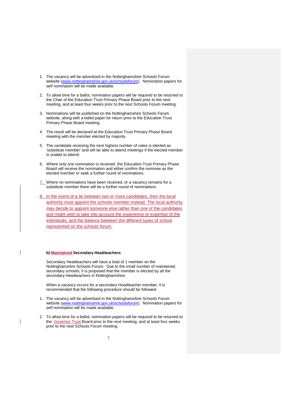- 1. The vacancy will be advertised in the Nottinghamshire Schools Forum website (www.nottinghamshire.gov.uk/schoolsforum). Nomination papers for self nomination will be made available.
- 2. To allow time for a ballot, nomination papers will be required to be returned to the Chair of the Education Trust Primary Phase Board prior to the next meeting, and at least four weeks prior to the next Schools Forum meeting.
- 3. Nominations will be published on the Nottinghamshire Schools Forum website, along with a ballot paper for return prior to the Education Trust Primary Phase Board meeting.
- 4. The result will be declared at the Education Trust Primary Phase Board meeting with the member elected by majority.
- 5. The candidate receiving the next highest number of votes is elected as 'substitute member' and will be able to attend meetings if the elected member is unable to attend.
- 6. Where only one nomination is received, the Education Trust Primary Phase Board will receive the nomination and either confirm the nominee as the elected member or seek a further round of nominations.
- 7. Where no nominations have been received, or a vacancy remains for a substitute member there will be a further round of nominations.
- 8. In the event of a tie between two or more candidates, then the local authority must appoint the schools member instead. The local authority may decide to appoint someone else rather than one of the candidates and might wish to take into account the experience or expertise of the individuals, and the balance between the different types of school represented on the schools forum.

#### **b) Maintained Secondary Headteachers**

Secondary Headteachers will have a total of 1 member on the Nottinghamshire Schools Forum. Due to the small number of maintained secondary schools, it is proposed that the member is elected by all the secondary Headteachers in Nottinghamshire.

When a vacancy occurs for a secondary Headteacher member, it is recommended that the following procedure should be followed:

- 1. The vacancy will be advertised in the Nottinghamshire Schools Forum website (www.nottinghamshire.gov.uk/schoolsforum). Nomination papers for self nomination will be made available.
- 2. To allow time for a ballot, nomination papers will be required to be returned to the Governor Trust Board prior to the next meeting, and at least four weeks prior to the next Schools Forum meeting.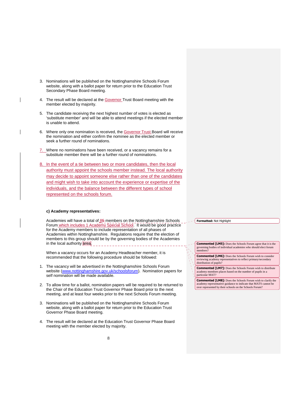- 3. Nominations will be published on the Nottinghamshire Schools Forum website, along with a ballot paper for return prior to the Education Trust Secondary Phase Board meeting.
- 4. The result will be declared at the Governor Trust Board meeting with the member elected by majority.
- 5. The candidate receiving the next highest number of votes is elected as 'substitute member' and will be able to attend meetings if the elected member is unable to attend.
- 6. Where only one nomination is received, the Governor Trust Board will receive the nomination and either confirm the nominee as the elected member or seek a further round of nominations.
- 7. Where no nominations have been received, or a vacancy remains for a substitute member there will be a further round of nominations.
- 8. In the event of a tie between two or more candidates, then the local authority must appoint the schools member instead. The local authority may decide to appoint someone else rather than one of the candidates and might wish to take into account the experience or expertise of the individuals, and the balance between the different types of school represented on the schools forum.

#### **c) Academy representatives:**

Academies will have a total of 85 members on the Nottinghamshire Schools Forum which includes 1 Academy Special School. It would be good practice for the Academy members to include representation of all phases of Academies within Nottinghamshire. Regulations require that the election of members to this group should be by the governing bodies of the Academies in the local authority area.

When a vacancy occurs for an Academy Headteacher member, it is recommended that the following procedure should be followed:

- 1. The vacancy will be advertised in the Nottinghamshire Schools Forum website (www.nottinghamshire.gov.uk/schoolsforum). Nomination papers for self nomination will be made available.
- 2. To allow time for a ballot, nomination papers will be required to be returned to the Chair of the Education Trust Governor Phase Board prior to the next meeting, and at least four weeks prior to the next Schools Forum meeting.
- 3. Nominations will be published on the Nottinghamshire Schools Forum website, along with a ballot paper for return prior to the Education Trust Governor Phase Board meeting.
- 4. The result will be declared at the Education Trust Governor Phase Board meeting with the member elected by majority.

#### **Formatted:** Not Highlight

**Commented [LM5]:** Does the Schools Forum agree that it is the governing bodies of individual academies who should elect forum members?

**Commented [LM6]:** Does the Schools Forum wish to consider reviewing academy representatives to reflect primary/secondary distribution of pupils?

**Commented [LM7]:** Does the Schools Forum wish to distribute academy members places based on the number of pupils in a particular MAT?

**Commented [LM8]:** Does the Schools Forum wish to clarify the academy representative guidance to indicate that MATS cannot be over represented by their schools on the Schools Forum?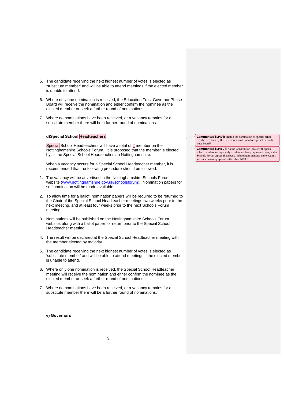- 5. The candidate receiving the next highest number of votes is elected as 'substitute member' and will be able to attend meetings if the elected member is unable to attend.
- 6. Where only one nomination is received, the Education Trust Governor Phase Board will receive the nomination and either confirm the nominee as the elected member or seek a further round of nominations.
- 7. Where no nominations have been received, or a vacancy remains for a substitute member there will be a further round of nominations.

## **d)Special School Headteachers**

Special School Headteachers will have a total of 2 member on the Nottinghamshire Schools Forum. It is proposed that the member is elected by all the Special School Headteachers in Nottinghamshire.

When a vacancy occurs for a Special School Headteacher member, it is recommended that the following procedure should be followed:

- 1. The vacancy will be advertised in the Nottinghamshire Schools Forum website (www.nottinghamshire.gov.uk/schoolsforum). Nomination papers for self nomination will be made available.
- 2. To allow time for a ballot, nomination papers will be required to be returned to the Chair of the Special School Headteacher meetings two weeks prior to the next meeting, and at least four weeks prior to the next Schools Forum meeting.
- 3. Nominations will be published on the Nottinghamshire Schools Forum website, along with a ballot paper for return prior to the Special School Headteacher meeting.
- 4. The result will be declared at the Special School Headteacher meeting with the member elected by majority.
- 5. The candidate receiving the next highest number of votes is elected as 'substitute member' and will be able to attend meetings if the elected member is unable to attend.
- 6. Where only one nomination is received, the Special School Headteacher meeting will receive the nomination and either confirm the nominee as the elected member or seek a further round of nominations.
- 7. Where no nominations have been received, or a vacancy remains for a substitute member there will be a further round of nominations.

#### **e) Governors**

**Commented [LM9]:** Should the nomination of special school reps be overseen by the Governors trust Board or Special Schools trust Board?

**Commented [LM10]:** As the Constitution deals with special school academies separately to other academy representatives, is the Schools Forum agrees that special school nominations and elections are undertaken by special rather than MATS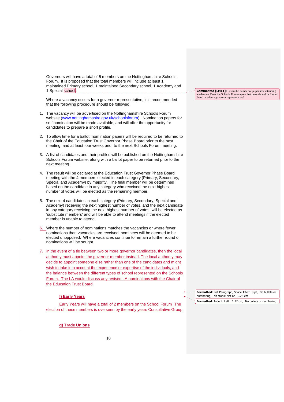Governors will have a total of 5 members on the Nottinghamshire Schools Forum. It is proposed that the total members will include at least 1 maintained Primary school, 1 maintained Secondary school, 1 Academy and 1 Special school.

Where a vacancy occurs for a governor representative, it is recommended that the following procedure should be followed:

- 1. The vacancy will be advertised on the Nottinghamshire Schools Forum website (www.nottinghamshire.gov.uk/schoolsforum). Nomination papers for self nomination will be made available, and will offer the opportunity for candidates to prepare a short profile.
- 2. To allow time for a ballot, nomination papers will be required to be returned to the Chair of the Education Trust Governor Phase Board prior to the next meeting, and at least four weeks prior to the next Schools Forum meeting.
- 3. A list of candidates and their profiles will be published on the Nottinghamshire Schools Forum website, along with a ballot paper to be returned prior to the next meeting.
- 4. The result will be declared at the Education Trust Governor Phase Board meeting with the 4 members elected in each category (Primary, Secondary, Special and Academy) by majority. The final member will be determined based on the candidate in any category who received the next highest number of votes will be elected as the remaining member.
- 5. The next 4 candidates in each category (Primary, Secondary, Special and Academy) receiving the next highest number of votes, and the next candidate in any category receiving the next highest number of votes will be elected as 'substitute members' and will be able to attend meetings if the elected member is unable to attend.
- 6. Where the number of nominations matches the vacancies or where fewer nominations than vacancies are received, nominees will be deemed to be elected unopposed. Where vacancies continue to remain a further round of nominations will be sought.
- In the event of a tie between two or more governor candidates, then the local authority must appoint the governor member instead. The local authority may decide to appoint someone else rather than one of the candidates and might wish to take into account the experience or expertise of the individuals, and the balance between the different types of school represented on the Schools Forum. The LA would discuss any revised LA nominations with the Chair of the Education Trust Board.

### **f) Early Years**

Early Years will have a total of 2 members on the School Forum The election of these members is overseen by the early years Consultative Group.

**Commented [LM11]:** Given the number of pupls now attending academies, Does the Schools Forum agree that there should be 2 rater

than 1 academy governor representative?

**Formatted:** List Paragraph, Space After: 0 pt, No bullets or numbering, Tab stops: Not at -0.23 cm **Formatted:** Indent: Left: 1.27 cm, No bullets or numbering

**g) Trade Unions**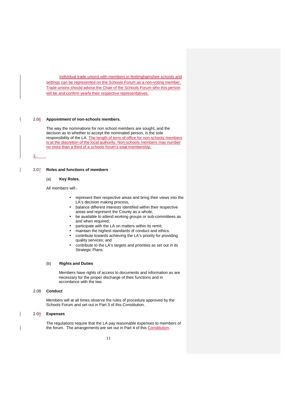Individual trade unions with members in Nottinghamshire schools and settings can be represented on the Schools Forum as a non-voting member. Trade unions should advise the Chair of the Schools Forum who this person will be and confirm yearly their respective representatives.

#### 2.06 **Appointment of non-schools members.**

The way the nominations for non school members are sought, and the decision as to whether to accept the nominated person, is the sole responsibility of the LA. The length of term of office for non-schools members is at the discretion of the local authority. Non-schools members may number no more than a third of a schools forum's total membership.

3.

#### 2.07 **Roles and functions of members**

#### (a) **Key Roles.**

All members will:-

- represent their respective areas and bring their views into the LA's decision making process,
- balance different interests identified within their respective areas and represent the County as a whole;
- be available to attend working groups or sub-committees as and when required;
- participate with the LA on matters within its remit;
- maintain the highest standards of conduct and ethics.
- contribute towards achieving the LA's priority for providing quality services; and
- contribute to the LA's targets and priorities as set out in its Strategic Plans.

#### (b) **Rights and Duties**

 Members have rights of access to documents and information as are necessary for the proper discharge of their functions and in accordance with the law.

#### 2.08 **Conduct**

Members will at all times observe the rules of procedure approved by the Schools Forum and set out in Part 3 of this Constitution.

#### 2.09 **Expenses**

The regulations require that the LA pay reasonable expenses to members of the forum. The arrangements are set out in Part 4 of this Constitution.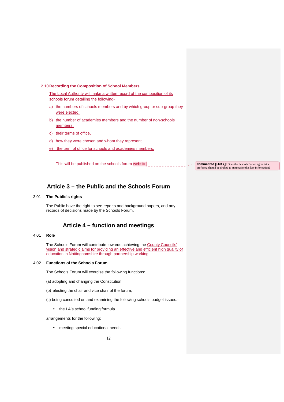#### 2.10 **Recording the Composition of School Members**

The Local Authority will make a written record of the composition of its schools forum detailing the following-

- a) the numbers of schools members and by which group or sub-group they were elected,
- b) the number of academies members and the number of non-schools members,
- c) their terms of office,
- d) how they were chosen and whom they represent.
- e) the term of office for schools and academies members.

This will be published on the schools forum website.

**Commented [LM12]:** Does the Schools Forum agree tat a proforma should be drafted to summarise this key information?

### **Article 3 – the Public and the Schools Forum**

#### 3.01 **The Public's rights**

The Public have the right to see reports and background papers, and any records of decisions made by the Schools Forum.

### **Article 4 – function and meetings**

#### 4.01 **Role**

The Schools Forum will contribute towards achieving the County Councils' vision and strategic aims for providing an effective and efficient high quality of education in Nottinghamshire through partnership working.

#### 4.02 **Functions of the Schools Forum**

The Schools Forum will exercise the following functions:

- (a) adopting and changing the Constitution;
- (b) electing the chair and vice chair of the forum;
- (c) being consulted on and examining the following schools budget issues:-
	- the LA's school funding formula

arrangements for the following:

• meeting special educational needs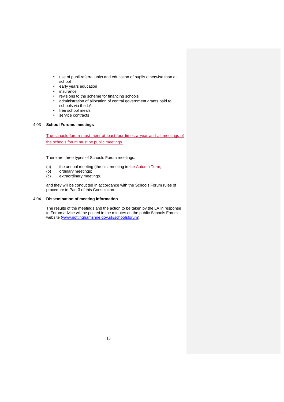- use of pupil referral units and education of pupils otherwise than at school
- early years education
- insurance
- revisions to the scheme for financing schools
- administration of allocation of central government grants paid to schools via the LA
- free school meals
- service contracts

#### 4.03 **School Forums meetings**

The schools forum must meet at least four times a year and all meetings of the schools forum must be public meetings.

There are three types of Schools Forum meetings:

- (a) the annual meeting (the first meeting in the Autumn Term;<br>(b) ordinary meetings:
- ordinary meetings;
- (c) extraordinary meetings.

and they will be conducted in accordance with the Schools Forum rules of procedure in Part 3 of this Constitution.

#### 4.04 **Dissemination of meeting information**

The results of the meetings and the action to be taken by the LA in response to Forum advice will be posted in the minutes on the public Schools Forum website (www.nottinghamshire.gov.uk/schoolsforum).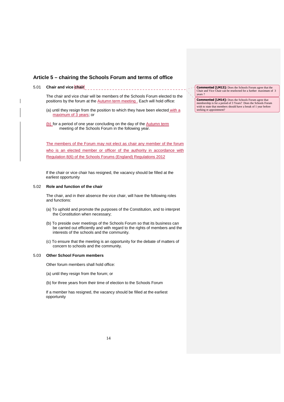### **Article 5 – chairing the Schools Forum and terms of office**

#### 5.01 **Chair and vice chair**  ----------------------------------

The chair and vice chair will be members of the Schools Forum elected to the positions by the forum at the **Autumn term meeting**. Each will hold office:

- (a) until they resign from the position to which they have been elected with a maximum of 3 years; or
- (b) for a period of one year concluding on the day of the Autumn term meeting of the Schools Forum in the following year.

The members of the Forum may not elect as chair any member of the forum who is an elected member or officer of the authority in accordance with Regulation 8(6) of the Schools Forums (England) Regulations 2012

 If the chair or vice chair has resigned, the vacancy should be filled at the earliest opportunity

#### 5.02 **Role and function of the chair**

The chair, and in their absence the vice chair, will have the following roles and functions:

- (a) To uphold and promote the purposes of the Constitution, and to interpret the Constitution when necessary;
- (b) To preside over meetings of the Schools Forum so that its business can be carried out efficiently and with regard to the rights of members and the interests of the schools and the community.
- (c) To ensure that the meeting is an opportunity for the debate of matters of concern to schools and the community.

#### 5.03 **Other School Forum members**

Other forum members shall hold office:

- (a) until they resign from the forum; or
- (b) for three years from their time of election to the Schools Forum

 If a member has resigned, the vacancy should be filled at the earliest opportunity

**Commented [LM13]:** Does the Schools Forum agree that the Chair and Vice Chair can be reselected for a further maximum of 3 years ?

**Commented [LM14]:** Does the Schools Forum agree that membership is for a period of 3 Years? Does the Schools Forum wish to state that members should have a break of 1 year before seeking re appointment?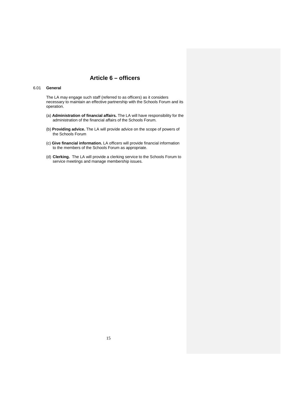### **Article 6 – officers**

#### 6.01 **General**

The LA may engage such staff (referred to as officers) as it considers necessary to maintain an effective partnership with the Schools Forum and its operation.

- (a) **Administration of financial affairs.** The LA will have responsibility for the administration of the financial affairs of the Schools Forum.
- (b) **Providing advice.** The LA will provide advice on the scope of powers of the Schools Forum
- (c) **Give financial information.** LA officers will provide financial information to the members of the Schools Forum as appropriate.
- (d) **Clerking.** The LA will provide a clerking service to the Schools Forum to service meetings and manage membership issues.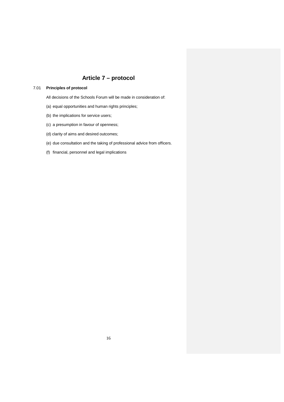# **Article 7 – protocol**

### 7.01 **Principles of protocol**

All decisions of the Schools Forum will be made in consideration of:

- (a) equal opportunities and human rights principles;
- (b) the implications for service users;
- (c) a presumption in favour of openness;
- (d) clarity of aims and desired outcomes;
- (e) due consultation and the taking of professional advice from officers.
- (f) financial, personnel and legal implications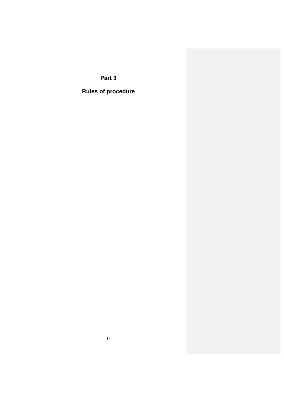**Part 3** 

**Rules of procedure**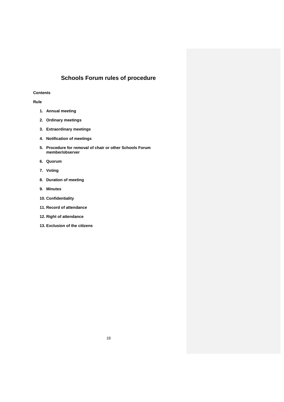# **Schools Forum rules of procedure**

#### **Contents**

#### **Rule**

- **1. Annual meeting**
- **2. Ordinary meetings**
- **3. Extraordinary meetings**
- **4. Notification of meetings**
- **5. Procedure for removal of chair or other Schools Forum member/observer**
- **6. Quorum**
- **7. Voting**
- **8. Duration of meeting**
- **9. Minutes**
- **10. Confidentiality**
- **11. Record of attendance**
- **12. Right of attendance**
- **13. Exclusion of the citizens**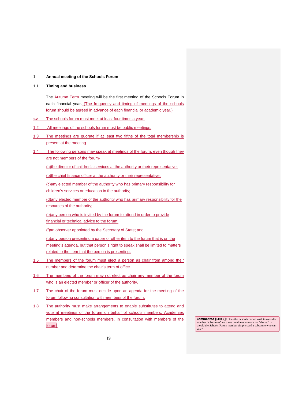#### 1. **Annual meeting of the Schools Forum**

#### 1.1 **Timing and business**

The Autumn Term meeting will be the first meeting of the Schools Forum in each financial year. (The frequency and timing of meetings of the schools forum should be agreed in advance of each financial or academic year.)

**1.2** The schools forum must meet at least four times a year.

1.2 All meetings of the schools forum must be public meetings.

- 1.3 The meetings are quorate if at least two fifths of the total membership is present at the meeting.
- 1.4 The following persons may speak at meetings of the forum, even though they are not members of the forum-

(a)the director of children's services at the authority or their representative;

(b)the chief finance officer at the authority or their representative;

(c)any elected member of the authority who has primary responsibility for children's services or education in the authority;

(d)any elected member of the authority who has primary responsibility for the resources of the authority;

(e)any person who is invited by the forum to attend in order to provide financial or technical advice to the forum;

(f)an observer appointed by the Secretary of State; and

(g)any person presenting a paper or other item to the forum that is on the meeting's agenda, but that person's right to speak shall be limited to matters related to the item that the person is presenting.

- 1.5 The members of the forum must elect a person as chair from among their number and determine the chair's term of office.
- 1.6 The members of the forum may not elect as chair any member of the forum who is an elected member or officer of the authority.
- 1.7 The chair of the forum must decide upon an agenda for the meeting of the forum following consultation with members of the forum.
- 1.8 The authority must make arrangements to enable substitutes to attend and vote at meetings of the forum on behalf of schools members, Academies members and non-schools members, in consultation with members of the forum.

**Commented [LM15]:** Does the Schools Forum wish to consider whether 'substitutes' are those nominees who are not 'elected' or should the Schools Forum member simply send a substitute who can vote?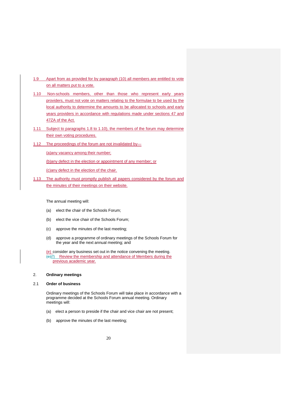- 1.9 Apart from as provided for by paragraph (10) all members are entitled to vote on all matters put to a vote.
- 1.10 Non-schools members, other than those who represent early years providers, must not vote on matters relating to the formulae to be used by the local authority to determine the amounts to be allocated to schools and early years providers in accordance with regulations made under sections 47 and 47ZA of the Act.
- 1.11 Subject to paragraphs 1.8 to 1.10), the members of the forum may determine their own voting procedures.
- 1.12 The proceedings of the forum are not invalidated by—

(a)any vacancy among their number;

(b)any defect in the election or appointment of any member; or

(c)any defect in the election of the chair.

1.13 The authority must promptly publish all papers considered by the forum and the minutes of their meetings on their website.

The annual meeting will:

- (a) elect the chair of the Schools Forum;
- (b) elect the vice chair of the Schools Forum;
- (c) approve the minutes of the last meeting;
- (d) approve a programme of ordinary meetings of the Schools Forum for the year and the next annual meeting; and

(e) consider any business set out in the notice convening the meeting. (e)(f) Review the membership and attendance of Members during the previous academic year.

#### 2. **Ordinary meetings**

#### 2.1 **Order of business**

Ordinary meetings of the Schools Forum will take place in accordance with a programme decided at the Schools Forum annual meeting. Ordinary meetings will:

- (a) elect a person to preside if the chair and vice chair are not present;
- (b) approve the minutes of the last meeting;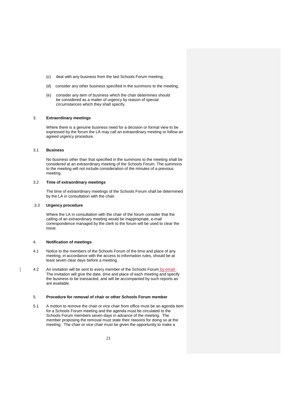- (c) deal with any business from the last Schools Forum meeting;
- (d) consider any other business specified in the summons to the meeting,
- (e) consider any item of business which the chair determines should be considered as a matter of urgency by reason of special circumstances which they shall specify.

#### 3. **Extraordinary meetings**

Where there is a genuine business need for a decision or formal view to be expressed by the forum the LA may call an extraordinary meeting or follow an agreed urgency procedure.

#### 3.1 **Business**

No business other than that specified in the summons to the meeting shall be considered at an extraordinary meeting of the Schools Forum. The summons to the meeting will not include consideration of the minutes of a previous meeting.

#### 3.2 **Time of extraordinary meetings**

The time of extraordinary meetings of the Schools Forum shall be determined by the LA in consultation with the chair.

#### 3.3 **Urgency procedure**

Where the LA in consultation with the chair of the forum consider that the calling of an extraordinary meeting would be inappropriate, e-mail correspondence managed by the clerk to the forum will be used to clear the issue.

#### 4. **Notification of meetings**

- 4.1 Notice to the members of the Schools Forum of the time and place of any meeting, in accordance with the access to information rules, should be at least seven clear days before a meeting.
- 4.2 An invitation will be sent to every member of the Schools Forum by email. The invitation will give the date, time and place of each meeting and specify the business to be transacted, and will be accompanied by such reports as are available.

#### 5. **Procedure for removal of chair or other Schools Forum member**

5.1 A motion to remove the chair or vice chair from office must be an agenda item for a Schools Forum meeting and the agenda must be circulated to the Schools Forum members seven days in advance of the meeting. The member proposing the removal must state their reasons for doing so at the meeting. The chair or vice chair must be given the opportunity to make a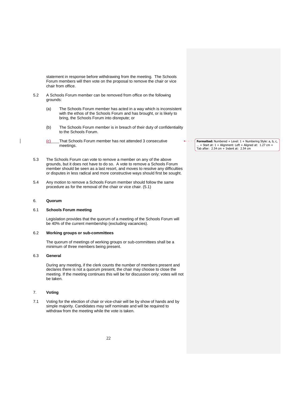statement in response before withdrawing from the meeting. The Schools Forum members will then vote on the proposal to remove the chair or vice chair from office.

- 5.2 A Schools Forum member can be removed from office on the following grounds:
	- (a) The Schools Forum member has acted in a way which is inconsistent with the ethos of the Schools Forum and has brought, or is likely to bring, the Schools Forum into disrepute; or
	- (b) The Schools Forum member is in breach of their duty of confidentiality to the Schools Forum.
	- (c) That Schools Forum member has not attended 3 consecutive meetings.
- 5.3 The Schools Forum can vote to remove a member on any of the above grounds, but it does not have to do so. A vote to remove a Schools Forum member should be seen as a last resort, and moves to resolve any difficulties or disputes in less radical and more constructive ways should first be sought.
- 5.4 Any motion to remove a Schools Forum member should follow the same procedure as for the removal of the chair or vice chair. (5.1)

#### 6. **Quorum**

#### 6.1 **Schools Forum meeting**

Legislation provides that the quorum of a meeting of the Schools Forum will be 40% of the current membership (excluding vacancies).

#### 6.2 **Working groups or sub-committees**

The quorum of meetings of working groups or sub-committees shall be a minimum of three members being present.

#### 6.3 **General**

During any meeting, if the clerk counts the number of members present and declares there is not a quorum present, the chair may choose to close the meeting. If the meeting continues this will be for discussion only; votes will not be taken.

#### 7. **Voting**

7.1 Voting for the election of chair or vice-chair will be by show of hands and by simple majority. Candidates may self nominate and will be required to withdraw from the meeting while the vote is taken.

**Formatted:** Numbered + Level: 1 + Numbering Style: a, b, c, … + Start at: 1 + Alignment: Left + Aligned at: 1.27 cm + Tab after: 2.54 cm + Indent at: 2.54 cm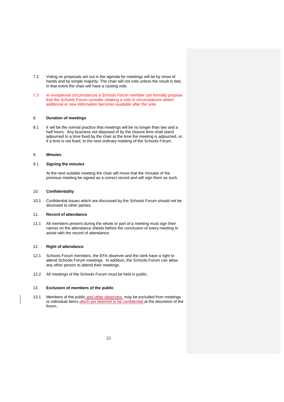- 7.2 Voting on proposals set out in the agenda for meetings will be by show of hands and by simple majority. The chair will not vote unless the result is tied, in that event the chair will have a casting vote.
- 7.3 In exceptional circumstances a Schools Forum member can formally propose that the Schools Forum consider retaking a vote in circumstances where additional or new information becomes available after the vote.

#### 8. **Duration of meetings**

8.1 It will be the normal practice that meetings will be no longer than two and a half hours. Any business not disposed of by the closure time shall stand adjourned to a time fixed by the chair at the time the meeting is adjourned, or, if a time is not fixed, to the next ordinary meeting of the Schools Forum.

#### 9. **Minutes**

#### 9.1 **Signing the minutes**

At the next suitable meeting the chair will move that the minutes of the previous meeting be signed as a correct record and will sign them as such.

#### 10. **Confidentiality**

10.1 Confidential issues which are discussed by the Schools Forum should not be disclosed to other parties.

#### 11. **Record of attendance**

11.1 All members present during the whole or part of a meeting must sign their names on the attendance sheets before the conclusion of every meeting to assist with the record of attendance.

#### 12. **Right of attendance**

- 12.1 Schools Forum members, the EFA observer and the clerk have a right to attend Schools Forum meetings. In addition, the Schools Forum can allow any other person to attend their meetings.
- 12.2 All meetings of the Schools Forum must be held in public.

#### 13. **Exclusion of members of the public**

13.1 Members of the public and other observers may be excluded from meetings or individual items which are deemed to be confidential at the discretion of the forum.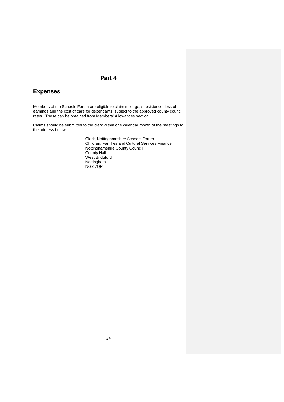### **Part 4**

### **Expenses**

Members of the Schools Forum are eligible to claim mileage, subsistence, loss of earnings and the cost of care for dependants, subject to the approved county council rates. These can be obtained from Members' Allowances section.

Claims should be submitted to the clerk within one calendar month of the meetings to the address below:

> Clerk, Nottinghamshire Schools Forum Children, Families and Cultural Services Finance Nottinghamshire County Council County Hall West Bridgford Nottingham NG2 7QP